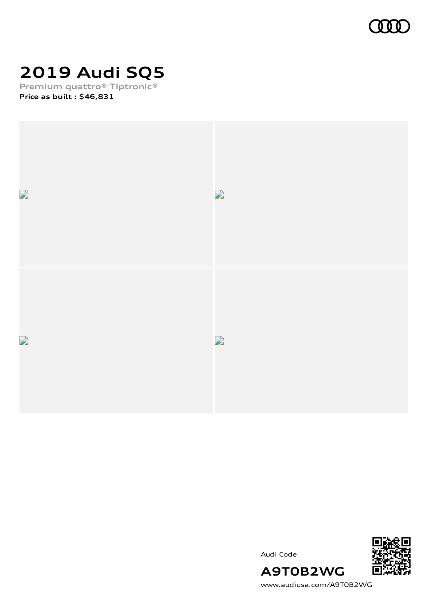

# **2019 Audi SQ5**

**Premium quattro® Tiptronic® Price as built [:](#page-10-0) \$46,831**







[www.audiusa.com/A9T0B2WG](https://www.audiusa.com/A9T0B2WG)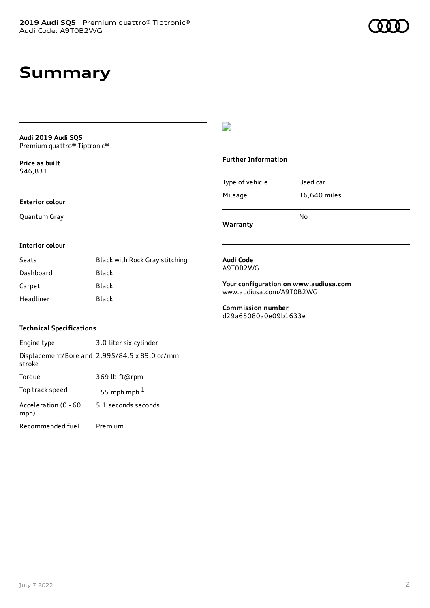## **Summary**

**Audi 2019 Audi SQ5** Premium quattro® Tiptronic®

**Price as buil[t](#page-10-0)** \$46,831

### **Exterior colour**

Quantum Gray

## $\overline{\phantom{a}}$

### **Further Information**

|                 | N٥           |
|-----------------|--------------|
| Mileage         | 16,640 miles |
| Type of vehicle | Used car     |

**Warranty**

### **Interior colour**

| Seats     | Black with Rock Gray stitching |
|-----------|--------------------------------|
| Dashboard | Black                          |
| Carpet    | Black                          |
| Headliner | Black                          |

**Audi Code** A9T0B2WG

**Your configuration on www.audiusa.com** [www.audiusa.com/A9T0B2WG](https://www.audiusa.com/A9T0B2WG)

**Commission number** d29a65080a0e09b1633e

### **Technical Specifications**

| Engine type                  | 3.0-liter six-cylinder                        |
|------------------------------|-----------------------------------------------|
| stroke                       | Displacement/Bore and 2,995/84.5 x 89.0 cc/mm |
| Torque                       | 369 lb-ft@rpm                                 |
| Top track speed              | 155 mph mph $1$                               |
| Acceleration (0 - 60<br>mph) | 5.1 seconds seconds                           |
| Recommended fuel             | Premium                                       |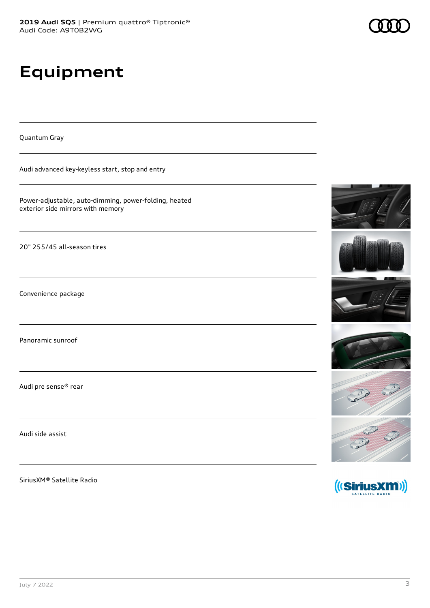## **Equipment**

Quantum Gray

Audi advanced key-keyless start, stop and entry

Power-adjustable, auto-dimming, power-folding, heated exterior side mirrors with memory

20" 255/45 all-season tires

Convenience package

Panoramic sunroof

Audi pre sense® rear

Audi side assist

SiriusXM® Satellite Radio













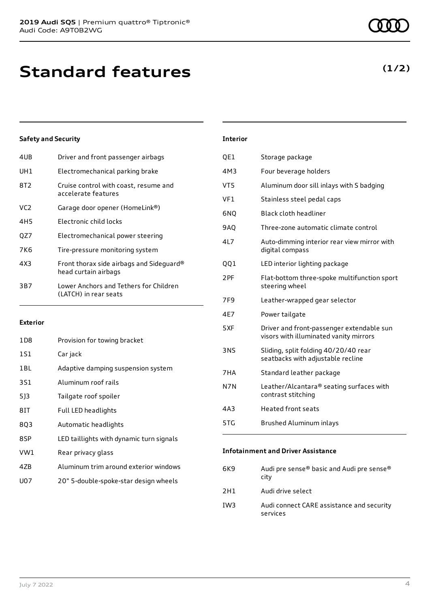| 4UB | Driver and front passenger airbags                               |
|-----|------------------------------------------------------------------|
| UH1 | Electromechanical parking brake                                  |
| 8T2 | Cruise control with coast, resume and<br>accelerate features     |
| VC2 | Garage door opener (HomeLink®)                                   |
| 4H5 | Electronic child locks                                           |
| OZ7 | Electromechanical power steering                                 |
| 7K6 | Tire-pressure monitoring system                                  |
| 4X3 | Front thorax side airbags and Sideguard®<br>head curtain airbags |
| 3B7 | Lower Anchors and Tethers for Children<br>(LATCH) in rear seats  |
|     |                                                                  |

### **Exterior**

| 1D8 | Provision for towing bracket             |
|-----|------------------------------------------|
| 1S1 | Car jack                                 |
| 1BL | Adaptive damping suspension system       |
| 3S1 | Aluminum roof rails                      |
| 513 | Tailgate roof spoiler                    |
| 81T | Full LED headlights                      |
| 803 | Automatic headlights                     |
| 8SP | LED taillights with dynamic turn signals |
| VW1 | Rear privacy glass                       |
| 47B | Aluminum trim around exterior windows    |
| U07 | 20" 5-double-spoke-star design wheels    |
|     |                                          |

| <b>Interior</b> |                                                                                     |
|-----------------|-------------------------------------------------------------------------------------|
| QE1             | Storage package                                                                     |
| 4M3             | Four beverage holders                                                               |
| VT5             | Aluminum door sill inlays with S badging                                            |
| VF1             | Stainless steel pedal caps                                                          |
| 6NQ             | Black cloth headliner                                                               |
| <b>9A0</b>      | Three-zone automatic climate control                                                |
| 4L7             | Auto-dimming interior rear view mirror with<br>digital compass                      |
| QQ1             | LED interior lighting package                                                       |
| 2PF             | Flat-bottom three-spoke multifunction sport<br>steering wheel                       |
| 7F9             | Leather-wrapped gear selector                                                       |
| 4E7             | Power tailgate                                                                      |
| 5XF             | Driver and front-passenger extendable sun<br>visors with illuminated vanity mirrors |
| 3NS             | Sliding, split folding 40/20/40 rear<br>seatbacks with adjustable recline           |
| 7HA             | Standard leather package                                                            |
| N7N             | Leather/Alcantara® seating surfaces with<br>contrast stitching                      |
| 4A3             | Heated front seats                                                                  |
| 5TG             | Brushed Aluminum inlays                                                             |

### **Infotainment and Driver Assistance**

| 6K9 | Audi pre sense® basic and Audi pre sense®<br>city     |
|-----|-------------------------------------------------------|
| 2H1 | Audi drive select                                     |
| IW3 | Audi connect CARE assistance and security<br>services |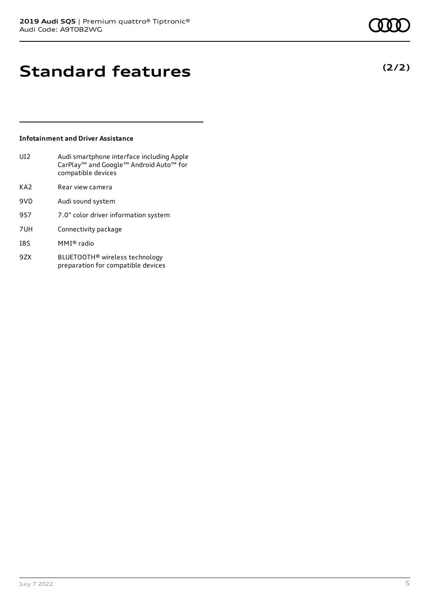## **Standard features**

### **Infotainment and Driver Assistance**

| UI2             | Audi smartphone interface including Apple<br>CarPlay <sup>™</sup> and Google™ Android Auto™ for<br>compatible devices |
|-----------------|-----------------------------------------------------------------------------------------------------------------------|
| KA <sub>2</sub> | Rear view camera                                                                                                      |
| 9VD             | Audi sound system                                                                                                     |
| 957             | 7.0" color driver information system                                                                                  |
| 7UH             | Connectivity package                                                                                                  |
| <b>I8S</b>      | MMI® radio                                                                                                            |
| 97X             | BLUETOOTH® wireless technology                                                                                        |

preparation for compatible devices

July 7 2022 5

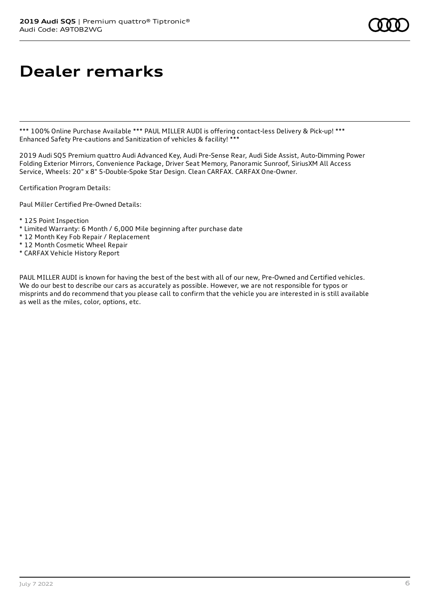## **Dealer remarks**

\*\*\* 100% Online Purchase Available \*\*\* PAUL MILLER AUDI is offering contact-less Delivery & Pick-up! \*\*\* Enhanced Safety Pre-cautions and Sanitization of vehicles & facility! \*\*\*

2019 Audi SQ5 Premium quattro Audi Advanced Key, Audi Pre-Sense Rear, Audi Side Assist, Auto-Dimming Power Folding Exterior Mirrors, Convenience Package, Driver Seat Memory, Panoramic Sunroof, SiriusXM All Access Service, Wheels: 20" x 8" 5-Double-Spoke Star Design. Clean CARFAX. CARFAX One-Owner.

Certification Program Details:

Paul Miller Certified Pre-Owned Details:

- \* 125 Point Inspection
- \* Limited Warranty: 6 Month / 6,000 Mile beginning after purchase date
- \* 12 Month Key Fob Repair / Replacement
- \* 12 Month Cosmetic Wheel Repair
- \* CARFAX Vehicle History Report

PAUL MILLER AUDI is known for having the best of the best with all of our new, Pre-Owned and Certified vehicles. We do our best to describe our cars as accurately as possible. However, we are not responsible for typos or misprints and do recommend that you please call to confirm that the vehicle you are interested in is still available as well as the miles, color, options, etc.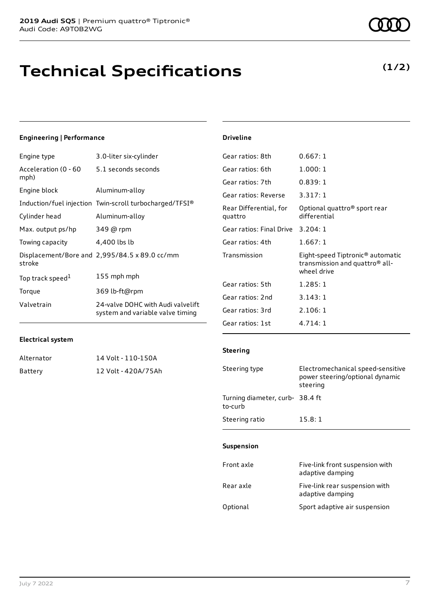## **Technical Specifications**

## **(1/2)**

### **Engineering | Performance**

| Engine type                  | 3.0-liter six-cylinder                                                |
|------------------------------|-----------------------------------------------------------------------|
| Acceleration (0 - 60<br>mph) | 5.1 seconds seconds                                                   |
| Engine block                 | Aluminum-alloy                                                        |
|                              | Induction/fuel injection Twin-scroll turbocharged/TFSI®               |
| Cylinder head                | Aluminum-alloy                                                        |
| Max. output ps/hp            | 349 @ rpm                                                             |
| Towing capacity              | 4,400 lbs lb                                                          |
| stroke                       | Displacement/Bore and 2,995/84.5 x 89.0 cc/mm                         |
| Top track speed <sup>1</sup> | 155 mph mph                                                           |
| Torque                       | 369 lb-ft@rpm                                                         |
| Valvetrain                   | 24-valve DOHC with Audi valvelift<br>system and variable valve timing |

## Gear ratios: 8th 0.667: 1 Gear ratios: 6th 1.000: 1 Gear ratios: 7th 0.839: 1 Gear ratios: Reverse 3.317: 1 Rear Differential, for quattro Optional quattro® sport rear differential Gear ratios: Final Drive 3.204: 1 Gear ratios: 4th 1.667: 1 Transmission Eight-speed Tiptronic® automatic transmission and quattro® allwheel drive Gear ratios: 5th 1.285: 1 Gear ratios: 2nd 3.143: 1 Gear ratios: 3rd 2.106: 1

### **Electrical system**

| Alternator | 14 Volt - 110-150A  |
|------------|---------------------|
| Battery    | 12 Volt - 420A/75Ah |

## **Steering**

Gear ratios: 1st 4.714: 1

**Driveline**

| Steering type                             | Electromechanical speed-sensitive<br>power steering/optional dynamic<br>steering |
|-------------------------------------------|----------------------------------------------------------------------------------|
| Turning diameter, curb-38.4 ft<br>to-curb |                                                                                  |
| Steering ratio                            | 15.8:1                                                                           |

### **Suspension**

| Front axle | Five-link front suspension with<br>adaptive damping |
|------------|-----------------------------------------------------|
| Rear axle  | Five-link rear suspension with<br>adaptive damping  |
| Optional   | Sport adaptive air suspension                       |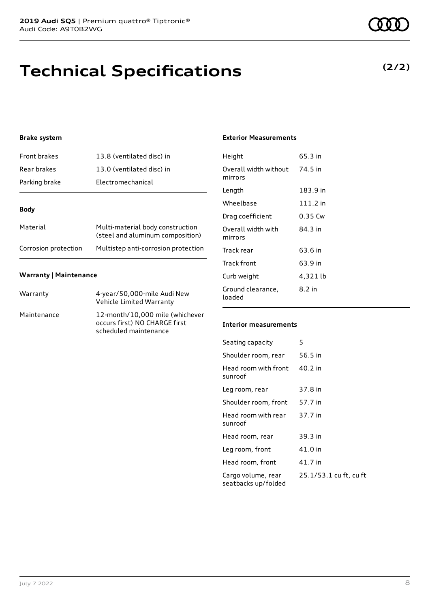## **Technical Specifications**

### **Brake system**

| <b>Front brakes</b> | 13.8 (ventilated disc) in                                            |
|---------------------|----------------------------------------------------------------------|
| Rear brakes         | 13.0 (ventilated disc) in                                            |
| Parking brake       | Electromechanical                                                    |
|                     |                                                                      |
| <b>Body</b>         |                                                                      |
| Material            | Multi-material body construction<br>(steel and aluminum composition) |

## Corrosion protection Multistep anti-corrosion protection

### **Warranty | Maintenance**

| Warranty    | 4-year/50,000-mile Audi New<br>Vehicle Limited Warranty                                   |
|-------------|-------------------------------------------------------------------------------------------|
| Maintenance | 12-month/10,000 mile (whichever<br>occurs first) NO CHARGE first<br>scheduled maintenance |

### **Exterior Measurements**

| Height                           | 65.3 in    |
|----------------------------------|------------|
| Overall width without<br>mirrors | 74.5 in    |
| Length                           | 183.9 in   |
| Wheelbase                        | $111.2$ in |
| Drag coefficient                 | 0.35 Cw    |
| Overall width with<br>mirrors    | 84.3 in    |
| Track rear                       | 63.6 in    |
| Track front                      | 63.9 in    |
| Curb weight                      | 4,321 lb   |
| Ground clearance,<br>loaded      | 8.2 in     |

#### **Interior measurements**

| Seating capacity                          | 5                      |
|-------------------------------------------|------------------------|
| Shoulder room, rear                       | 56.5 in                |
| Head room with front<br>sunroof           | 40.2 in                |
| Leg room, rear                            | 37.8 in                |
| Shoulder room, front                      | 57.7 in                |
| Head room with rear<br>sunroof            | 37.7 in                |
| Head room, rear                           | 39.3 in                |
| Leg room, front                           | 41.0 in                |
| Head room, front                          | 41.7 in                |
| Cargo volume, rear<br>seatbacks up/folded | 25.1/53.1 cu ft, cu ft |



**(2/2)**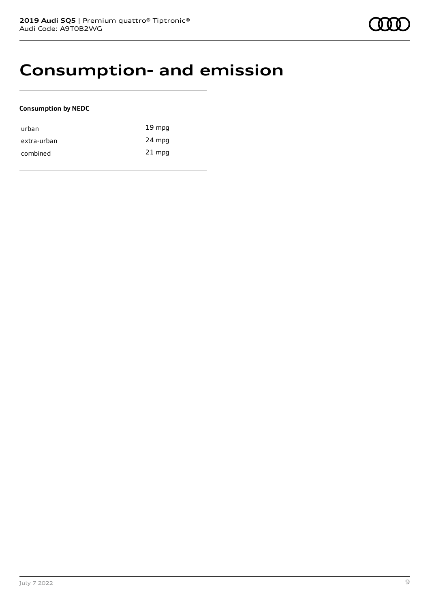## **Consumption- and emission**

### **Consumption by NEDC**

| urban       | $19 \text{ mpg}$ |
|-------------|------------------|
| extra-urban | 24 mpg           |
| combined    | $21$ mpg         |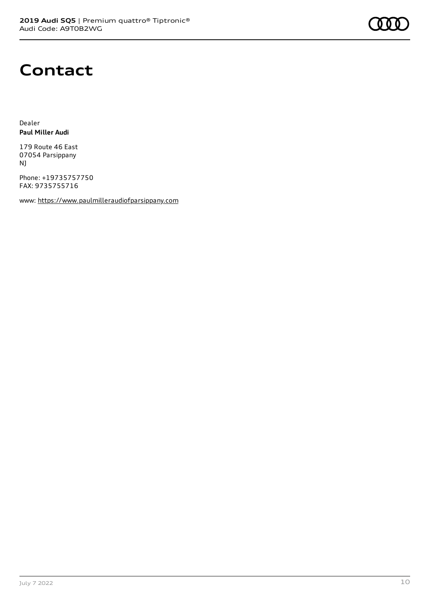

## **Contact**

Dealer **Paul Miller Audi**

179 Route 46 East 07054 Parsippany NJ

Phone: +19735757750 FAX: 9735755716

www: [https://www.paulmilleraudiofparsippany.com](https://www.paulmilleraudiofparsippany.com/)